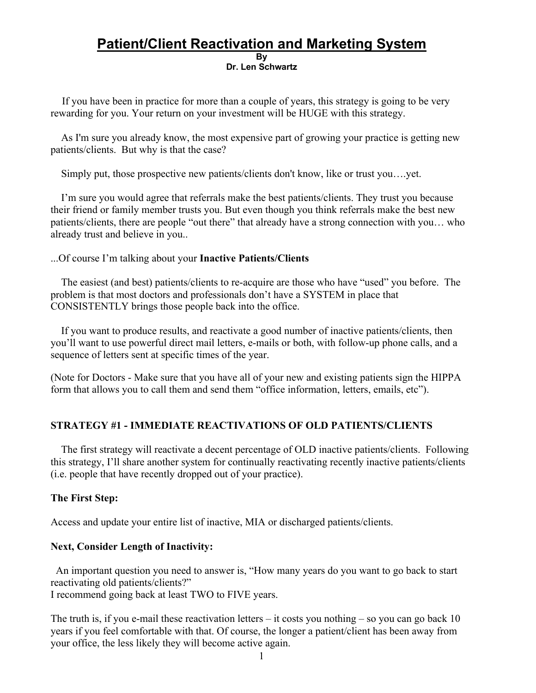## **Patient/Client Reactivation and Marketing System By Dr. Len Schwartz**

If you have been in practice for more than a couple of years, this strategy is going to be very rewarding for you. Your return on your investment will be HUGE with this strategy.

As I'm sure you already know, the most expensive part of growing your practice is getting new patients/clients. But why is that the case?

Simply put, those prospective new patients/clients don't know, like or trust you….yet.

 I'm sure you would agree that referrals make the best patients/clients. They trust you because their friend or family member trusts you. But even though you think referrals make the best new patients/clients, there are people "out there" that already have a strong connection with you… who already trust and believe in you..

...Of course I'm talking about your **Inactive Patients/Clients**

The easiest (and best) patients/clients to re-acquire are those who have "used" you before. The problem is that most doctors and professionals don't have a SYSTEM in place that CONSISTENTLY brings those people back into the office.

If you want to produce results, and reactivate a good number of inactive patients/clients, then you'll want to use powerful direct mail letters, e-mails or both, with follow-up phone calls, and a sequence of letters sent at specific times of the year.

(Note for Doctors - Make sure that you have all of your new and existing patients sign the HIPPA form that allows you to call them and send them "office information, letters, emails, etc").

## **STRATEGY #1 - IMMEDIATE REACTIVATIONS OF OLD PATIENTS/CLIENTS**

The first strategy will reactivate a decent percentage of OLD inactive patients/clients. Following this strategy, I'll share another system for continually reactivating recently inactive patients/clients (i.e. people that have recently dropped out of your practice).

## **The First Step:**

Access and update your entire list of inactive, MIA or discharged patients/clients.

## **Next, Consider Length of Inactivity:**

An important question you need to answer is, "How many years do you want to go back to start reactivating old patients/clients?"

I recommend going back at least TWO to FIVE years.

The truth is, if you e-mail these reactivation letters  $-$  it costs you nothing  $-$  so you can go back 10 years if you feel comfortable with that. Of course, the longer a patient/client has been away from your office, the less likely they will become active again.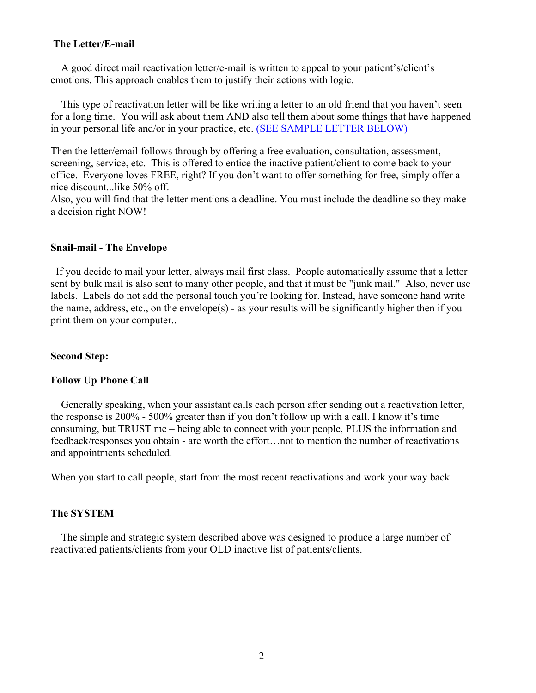### **The Letter/E-mail**

A good direct mail reactivation letter/e-mail is written to appeal to your patient's/client's emotions. This approach enables them to justify their actions with logic.

This type of reactivation letter will be like writing a letter to an old friend that you haven't seen for a long time. You will ask about them AND also tell them about some things that have happened in your personal life and/or in your practice, etc. (SEE SAMPLE LETTER BELOW)

Then the letter/email follows through by offering a free evaluation, consultation, assessment, screening, service, etc. This is offered to entice the inactive patient/client to come back to your office. Everyone loves FREE, right? If you don't want to offer something for free, simply offer a nice discount...like 50% off.

Also, you will find that the letter mentions a deadline. You must include the deadline so they make a decision right NOW!

#### **Snail-mail - The Envelope**

If you decide to mail your letter, always mail first class. People automatically assume that a letter sent by bulk mail is also sent to many other people, and that it must be "junk mail." Also, never use labels. Labels do not add the personal touch you're looking for. Instead, have someone hand write the name, address, etc., on the envelope(s) - as your results will be significantly higher then if you print them on your computer..

#### **Second Step:**

#### **Follow Up Phone Call**

Generally speaking, when your assistant calls each person after sending out a reactivation letter, the response is 200% - 500% greater than if you don't follow up with a call. I know it's time consuming, but TRUST me – being able to connect with your people, PLUS the information and feedback/responses you obtain - are worth the effort…not to mention the number of reactivations and appointments scheduled.

When you start to call people, start from the most recent reactivations and work your way back.

#### **The SYSTEM**

The simple and strategic system described above was designed to produce a large number of reactivated patients/clients from your OLD inactive list of patients/clients.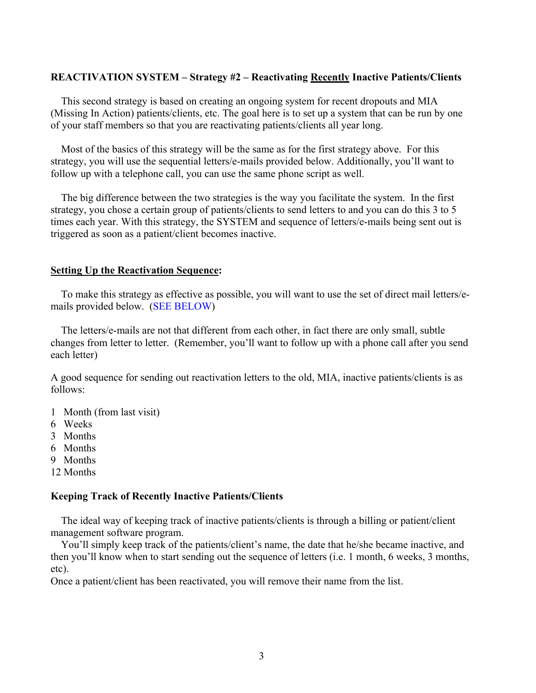#### **REACTIVATION SYSTEM – Strategy #2 – Reactivating Recently Inactive Patients/Clients**

This second strategy is based on creating an ongoing system for recent dropouts and MIA (Missing In Action) patients/clients, etc. The goal here is to set up a system that can be run by one of your staff members so that you are reactivating patients/clients all year long.

Most of the basics of this strategy will be the same as for the first strategy above. For this strategy, you will use the sequential letters/e-mails provided below. Additionally, you'll want to follow up with a telephone call, you can use the same phone script as well.

The big difference between the two strategies is the way you facilitate the system. In the first strategy, you chose a certain group of patients/clients to send letters to and you can do this 3 to 5 times each year. With this strategy, the SYSTEM and sequence of letters/e-mails being sent out is triggered as soon as a patient/client becomes inactive.

#### **Setting Up the Reactivation Sequence:**

To make this strategy as effective as possible, you will want to use the set of direct mail letters/emails provided below. (SEE BELOW)

The letters/e-mails are not that different from each other, in fact there are only small, subtle changes from letter to letter. (Remember, you'll want to follow up with a phone call after you send each letter)

A good sequence for sending out reactivation letters to the old, MIA, inactive patients/clients is as follows:

- 1 Month (from last visit)
- 6 Weeks
- 3 Months
- 6 Months
- 9 Months
- 12 Months

#### **Keeping Track of Recently Inactive Patients/Clients**

The ideal way of keeping track of inactive patients/clients is through a billing or patient/client management software program.

You'll simply keep track of the patients/client's name, the date that he/she became inactive, and then you'll know when to start sending out the sequence of letters (i.e. 1 month, 6 weeks, 3 months, etc).

Once a patient/client has been reactivated, you will remove their name from the list.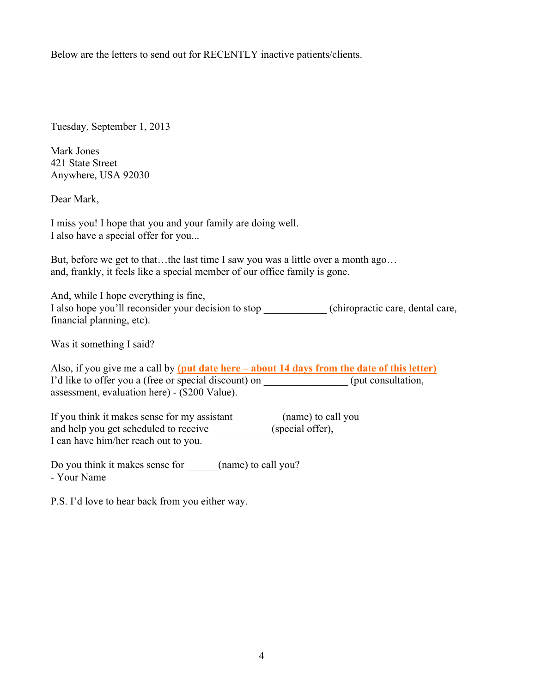Below are the letters to send out for RECENTLY inactive patients/clients.

Tuesday, September 1, 2013

Mark Jones 421 State Street Anywhere, USA 92030

Dear Mark,

I miss you! I hope that you and your family are doing well. I also have a special offer for you...

But, before we get to that…the last time I saw you was a little over a month ago… and, frankly, it feels like a special member of our office family is gone.

And, while I hope everything is fine, I also hope you'll reconsider your decision to stop \_\_\_\_\_\_\_\_\_\_\_\_ (chiropractic care, dental care, financial planning, etc).

Was it something I said?

Also, if you give me a call by **(put date here – about 14 days from the date of this letter)**  I'd like to offer you a (free or special discount) on  $($ put consultation, assessment, evaluation here) - (\$200 Value).

If you think it makes sense for my assistant \_\_\_\_\_\_\_\_\_(name) to call you and help you get scheduled to receive \_\_\_\_\_\_\_\_\_\_\_(special offer), I can have him/her reach out to you.

Do you think it makes sense for  $(name)$  to call you? - Your Name

P.S. I'd love to hear back from you either way.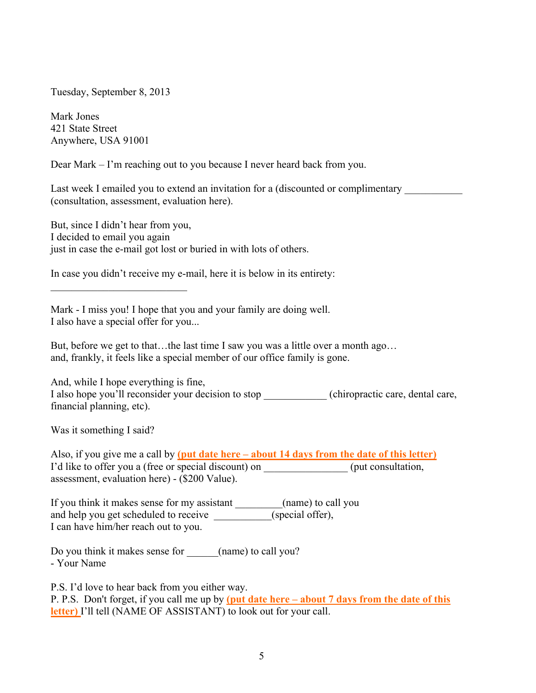Tuesday, September 8, 2013

Mark Jones 421 State Street Anywhere, USA 91001

Dear Mark – I'm reaching out to you because I never heard back from you.

Last week I emailed you to extend an invitation for a (discounted or complimentary (consultation, assessment, evaluation here).

But, since I didn't hear from you, I decided to email you again just in case the e-mail got lost or buried in with lots of others.

In case you didn't receive my e-mail, here it is below in its entirety:

Mark - I miss you! I hope that you and your family are doing well. I also have a special offer for you...

But, before we get to that…the last time I saw you was a little over a month ago… and, frankly, it feels like a special member of our office family is gone.

And, while I hope everything is fine, I also hope you'll reconsider your decision to stop (chiropractic care, dental care, financial planning, etc).

Was it something I said?

Also, if you give me a call by **(put date here – about 14 days from the date of this letter)**  I'd like to offer you a (free or special discount) on  $($ put consultation, assessment, evaluation here) - (\$200 Value).

If you think it makes sense for my assistant \_\_\_\_\_\_\_\_\_(name) to call you and help you get scheduled to receive \_\_\_\_\_\_\_\_\_\_\_(special offer), I can have him/her reach out to you.

Do you think it makes sense for  $\qquad \qquad$  (name) to call you? - Your Name

P.S. I'd love to hear back from you either way.

P. P.S. Don't forget, if you call me up by **(put date here – about 7 days from the date of this letter)** I'll tell (NAME OF ASSISTANT) to look out for your call.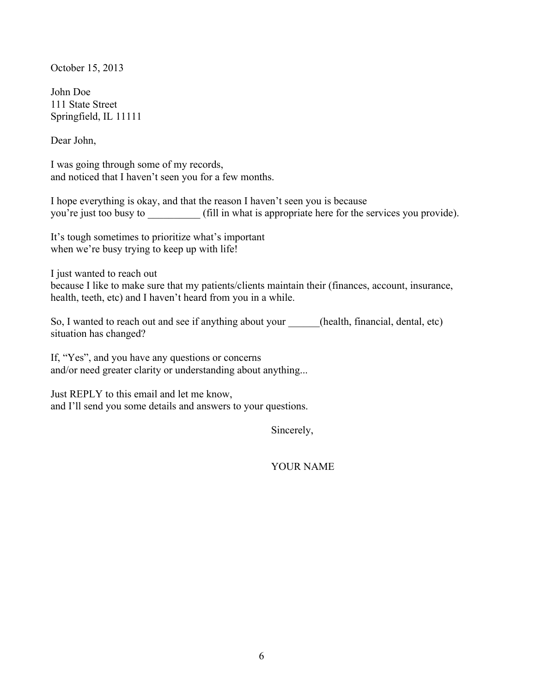October 15, 2013

John Doe 111 State Street Springfield, IL 11111

Dear John,

I was going through some of my records, and noticed that I haven't seen you for a few months.

I hope everything is okay, and that the reason I haven't seen you is because you're just too busy to  $\qquad$  (fill in what is appropriate here for the services you provide).

It's tough sometimes to prioritize what's important when we're busy trying to keep up with life!

I just wanted to reach out

because I like to make sure that my patients/clients maintain their (finances, account, insurance, health, teeth, etc) and I haven't heard from you in a while.

So, I wanted to reach out and see if anything about your (health, financial, dental, etc) situation has changed?

If, "Yes", and you have any questions or concerns and/or need greater clarity or understanding about anything...

Just REPLY to this email and let me know, and I'll send you some details and answers to your questions.

Sincerely,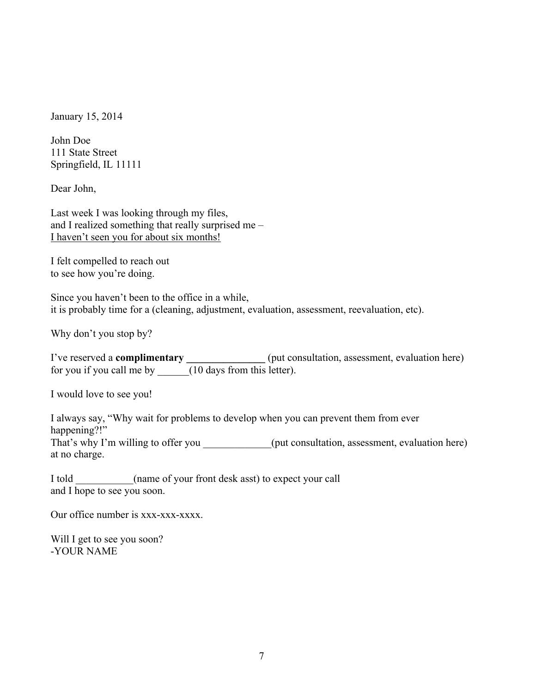January 15, 2014

John Doe 111 State Street Springfield, IL 11111

Dear John,

Last week I was looking through my files, and I realized something that really surprised me – I haven't seen you for about six months!

I felt compelled to reach out to see how you're doing.

Since you haven't been to the office in a while, it is probably time for a (cleaning, adjustment, evaluation, assessment, reevaluation, etc).

Why don't you stop by?

I've reserved a **complimentary \_\_\_\_\_\_\_\_\_\_\_\_\_\_\_** (put consultation, assessment, evaluation here) for you if you call me by  $\frac{1}{(10 \text{ days from this letter})}$ .

I would love to see you!

I always say, "Why wait for problems to develop when you can prevent them from ever happening?!" That's why I'm willing to offer you  $($ put consultation, assessment, evaluation here) at no charge.

I told \_\_\_\_\_\_\_\_\_\_\_(name of your front desk asst) to expect your call and I hope to see you soon.

Our office number is xxx-xxx-xxxx.

Will I get to see you soon? -YOUR NAME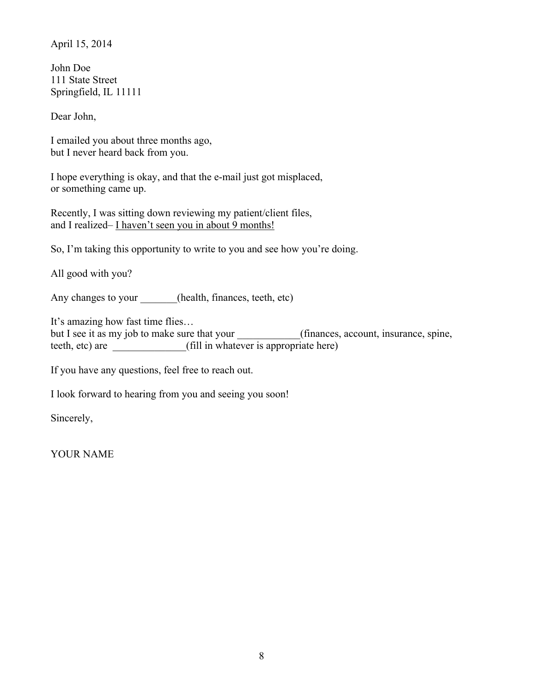April 15, 2014

John Doe 111 State Street Springfield, IL 11111

Dear John,

I emailed you about three months ago, but I never heard back from you.

I hope everything is okay, and that the e-mail just got misplaced, or something came up.

Recently, I was sitting down reviewing my patient/client files, and I realized– I haven't seen you in about 9 months!

So, I'm taking this opportunity to write to you and see how you're doing.

All good with you?

Any changes to your \_\_\_\_\_\_(health, finances, teeth, etc)

It's amazing how fast time flies…

but I see it as my job to make sure that your (finances, account, insurance, spine, teeth, etc) are \_\_\_\_\_\_\_\_\_\_\_\_\_\_(fill in whatever is appropriate here)

If you have any questions, feel free to reach out.

I look forward to hearing from you and seeing you soon!

Sincerely,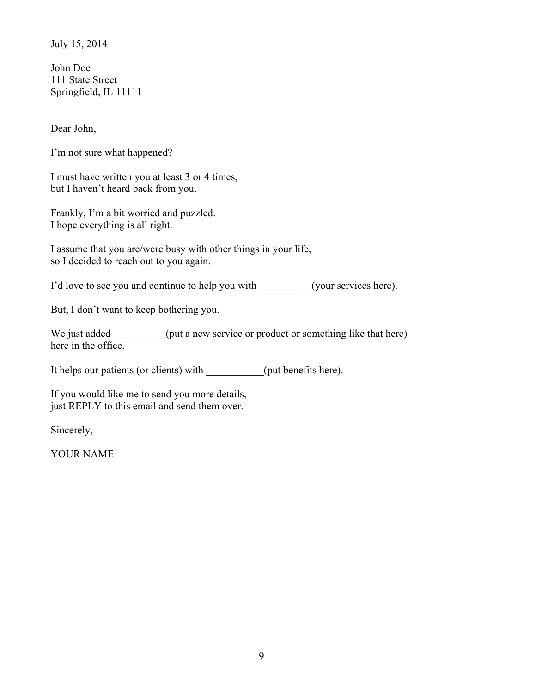July 15, 2014

John Doe 111 State Street Springfield, IL 11111

Dear John,

I'm not sure what happened?

I must have written you at least 3 or 4 times, but I haven't heard back from you.

Frankly, I'm a bit worried and puzzled. I hope everything is all right.

I assume that you are/were busy with other things in your life, so I decided to reach out to you again.

I'd love to see you and continue to help you with \_\_\_\_\_\_\_\_\_(your services here).

But, I don't want to keep bothering you.

We just added (put a new service or product or something like that here) here in the office.

It helps our patients (or clients) with (put benefits here).

If you would like me to send you more details, just REPLY to this email and send them over.

Sincerely,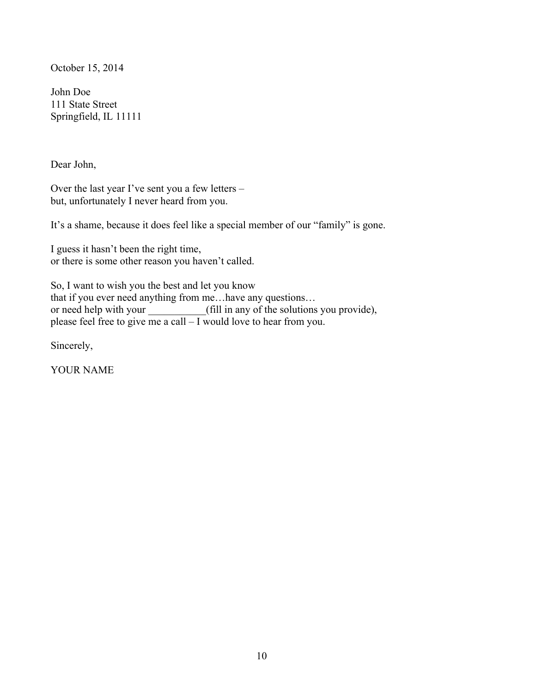October 15, 2014

John Doe 111 State Street Springfield, IL 11111

Dear John,

Over the last year I've sent you a few letters – but, unfortunately I never heard from you.

It's a shame, because it does feel like a special member of our "family" is gone.

I guess it hasn't been the right time, or there is some other reason you haven't called.

So, I want to wish you the best and let you know that if you ever need anything from me…have any questions… or need help with your (fill in any of the solutions you provide), please feel free to give me a call  $-\bar{I}$  would love to hear from you.

Sincerely,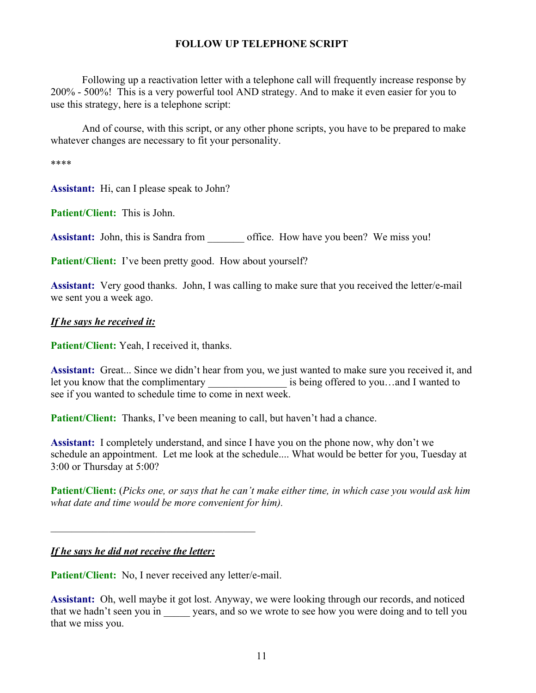## **FOLLOW UP TELEPHONE SCRIPT**

Following up a reactivation letter with a telephone call will frequently increase response by 200% - 500%! This is a very powerful tool AND strategy. And to make it even easier for you to use this strategy, here is a telephone script:

And of course, with this script, or any other phone scripts, you have to be prepared to make whatever changes are necessary to fit your personality.

\*\*\*\*

**Assistant:** Hi, can I please speak to John?

**Patient/Client:** This is John.

Assistant: John, this is Sandra from office. How have you been? We miss you!

**Patient/Client:** I've been pretty good. How about yourself?

**Assistant:** Very good thanks. John, I was calling to make sure that you received the letter/e-mail we sent you a week ago.

## *If he says he received it:*

**Patient/Client:** Yeah, I received it, thanks.

**Assistant:** Great... Since we didn't hear from you, we just wanted to make sure you received it, and let you know that the complimentary \_\_\_\_\_\_\_\_\_\_\_\_\_\_\_\_\_ is being offered to you...and I wanted to see if you wanted to schedule time to come in next week.

Patient/Client: Thanks, I've been meaning to call, but haven't had a chance.

**Assistant:** I completely understand, and since I have you on the phone now, why don't we schedule an appointment. Let me look at the schedule.... What would be better for you, Tuesday at 3:00 or Thursday at 5:00?

**Patient/Client:** (*Picks one, or says that he can't make either time, in which case you would ask him what date and time would be more convenient for him).*

## *If he says he did not receive the letter:*

Patient/Client: No, I never received any letter/e-mail.

**Assistant:** Oh, well maybe it got lost. Anyway, we were looking through our records, and noticed that we hadn't seen you in years, and so we wrote to see how you were doing and to tell you that we miss you.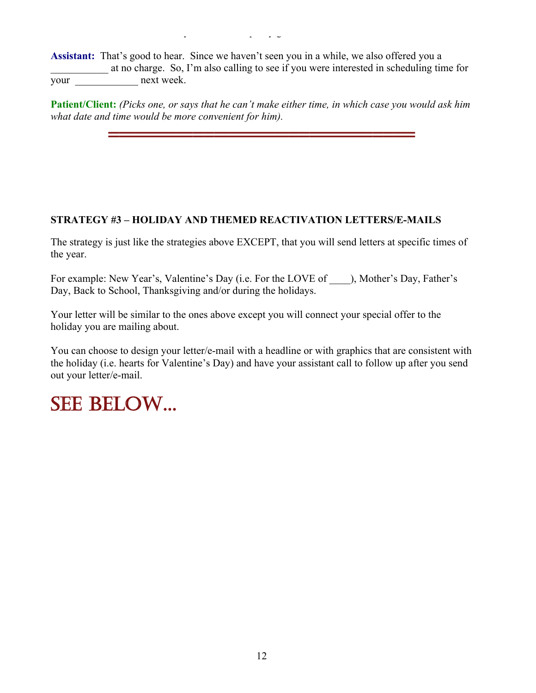**Patient/Client:** That's kind of you. I've been pretty good.

**Assistant:** That's good to hear. Since we haven't seen you in a while, we also offered you a at no charge. So, I'm also calling to see if you were interested in scheduling time for your next week.

**Patient/Client:** *(Picks one, or says that he can't make either time, in which case you would ask him what date and time would be more convenient for him).*

=============================

## **STRATEGY #3 – HOLIDAY AND THEMED REACTIVATION LETTERS/E-MAILS**

The strategy is just like the strategies above EXCEPT, that you will send letters at specific times of the year.

For example: New Year's, Valentine's Day (i.e. For the LOVE of  $\qquad$  ), Mother's Day, Father's Day, Back to School, Thanksgiving and/or during the holidays.

Your letter will be similar to the ones above except you will connect your special offer to the holiday you are mailing about.

You can choose to design your letter/e-mail with a headline or with graphics that are consistent with the holiday (i.e. hearts for Valentine's Day) and have your assistant call to follow up after you send out your letter/e-mail.

# SEE BELOW...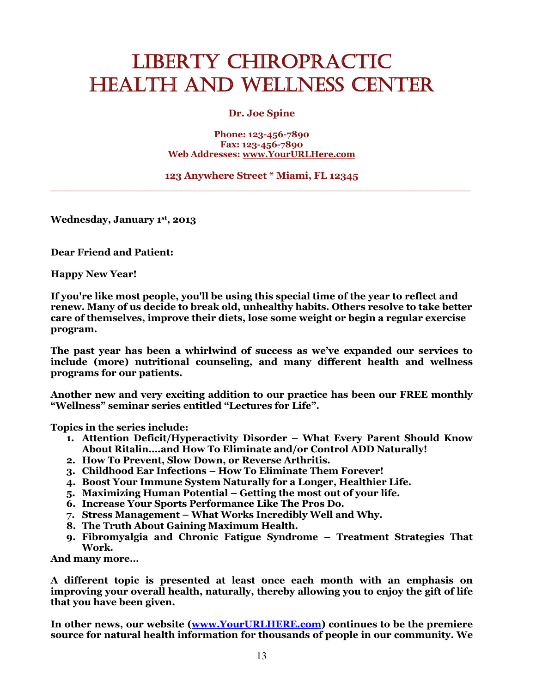## LIBERTY CHIROPRACTIC HEALTH AND WELLNESS CENTER

### **Dr. Joe Spine**

#### **Phone: 123-456-7890 Fax: 123-456-7890 Web Addresses: www.YourURLHere.com**

#### **123 Anywhere Street \* Miami, FL 12345 \_\_\_\_\_\_\_\_\_\_\_\_\_\_\_\_\_\_\_\_\_\_\_\_\_\_\_\_\_\_\_\_\_\_\_\_\_\_\_\_\_\_\_\_\_\_\_\_\_\_\_\_\_\_\_\_\_\_\_\_\_\_**

**Wednesday, January 1st, 2013**

**Dear Friend and Patient:**

**Happy New Year!**

**If you're like most people, you'll be using this special time of the year to reflect and renew. Many of us decide to break old, unhealthy habits. Others resolve to take better care of themselves, improve their diets, lose some weight or begin a regular exercise program.**

**The past year has been a whirlwind of success as we've expanded our services to include (more) nutritional counseling, and many different health and wellness programs for our patients.** 

**Another new and very exciting addition to our practice has been our FREE monthly "Wellness" seminar series entitled "Lectures for Life".** 

**Topics in the series include:**

- **1. Attention Deficit/Hyperactivity Disorder – What Every Parent Should Know About Ritalin….and How To Eliminate and/or Control ADD Naturally!**
- **2. How To Prevent, Slow Down, or Reverse Arthritis.**
- **3. Childhood Ear Infections – How To Eliminate Them Forever!**
- **4. Boost Your Immune System Naturally for a Longer, Healthier Life.**
- **5. Maximizing Human Potential – Getting the most out of your life.**
- **6. Increase Your Sports Performance Like The Pros Do.**
- **7. Stress Management – What Works Incredibly Well and Why.**
- **8. The Truth About Gaining Maximum Health.**
- **9. Fibromyalgia and Chronic Fatigue Syndrome – Treatment Strategies That Work.**

**And many more…**

**A different topic is presented at least once each month with an emphasis on improving your overall health, naturally, thereby allowing you to enjoy the gift of life that you have been given.**

**In other news, our website (www.YourURLHERE.com) continues to be the premiere source for natural health information for thousands of people in our community. We**